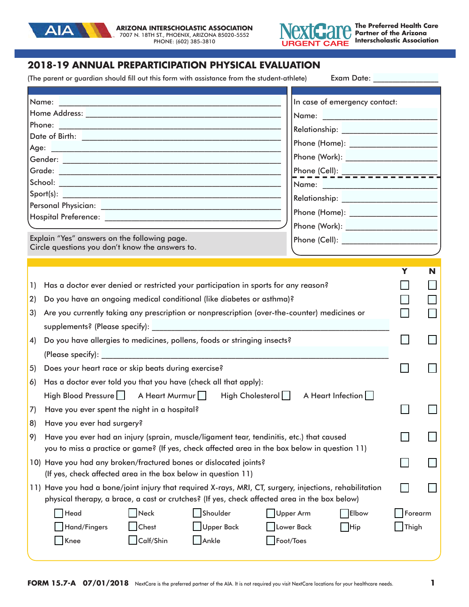



### **2018-19 ANNUAL PREPARTICIPATION PHYSICAL EVALUATION**

(The parent or guardian should fill out this form with assistance from the student-athlete) Exam Date:

| Name:<br><u> 1989 - Johann Stein, marwolaethau a bhann an t-Amhain ann an t-Amhain an t-Amhain an t-Amhain an t-Amhain an </u>                                                                                                                                          | In case of emergency contact:                 |                                                                                                                |   |  |  |  |
|-------------------------------------------------------------------------------------------------------------------------------------------------------------------------------------------------------------------------------------------------------------------------|-----------------------------------------------|----------------------------------------------------------------------------------------------------------------|---|--|--|--|
|                                                                                                                                                                                                                                                                         |                                               | Name: 2008 - 2008 - 2010 - 2010 - 2010 - 2010 - 2010 - 2010 - 2010 - 2010 - 2010 - 2010 - 2010 - 2010 - 2010 - |   |  |  |  |
| Phone: New York Phone: New York Phone: New York Phone: New York Phone: New York Phone: New York Phone: New York Phone: New York Phone: New York Phone: New York Phone: New York Phone: New York Phone: New York Phone: New Yor                                          | Relationship: <u>________________________</u> |                                                                                                                |   |  |  |  |
| Date of Birth: <u>contained by the contained by the contact of Birth:</u>                                                                                                                                                                                               |                                               |                                                                                                                |   |  |  |  |
| Phone (Home): _______________________<br>Age: No. 2008. Age: No. 2008. Age: No. 2008. Age: No. 2008. Age: No. 2008. Age: No. 2008. Age: No. 2008. Age: No. 2008. Age: No. 2008. Age: No. 2008. Age: No. 2008. Age: No. 2008. Age: No. 2008. Age: No. 2008. Age: No. 200 |                                               |                                                                                                                |   |  |  |  |
|                                                                                                                                                                                                                                                                         | Phone (Work): ________________________        |                                                                                                                |   |  |  |  |
| Phone (Cell): _______________                                                                                                                                                                                                                                           |                                               |                                                                                                                |   |  |  |  |
| School: <u>Andrea American and American and American and American and American and American and American and American and American and American and American and American and American and American and American and American an</u>                                    |                                               |                                                                                                                |   |  |  |  |
|                                                                                                                                                                                                                                                                         | Sport(s):                                     |                                                                                                                |   |  |  |  |
|                                                                                                                                                                                                                                                                         | Phone (Home): _______________________         |                                                                                                                |   |  |  |  |
| Phone (Work): __________________________                                                                                                                                                                                                                                |                                               |                                                                                                                |   |  |  |  |
| Explain "Yes" answers on the following page.<br>Phone (Cell): ___________________________                                                                                                                                                                               |                                               |                                                                                                                |   |  |  |  |
| Circle questions you don't know the answers to.<br><u> 1980 - Johann Barn, mars an t-Amerikaansk kommunister (</u>                                                                                                                                                      |                                               |                                                                                                                |   |  |  |  |
|                                                                                                                                                                                                                                                                         |                                               |                                                                                                                |   |  |  |  |
|                                                                                                                                                                                                                                                                         |                                               | Y                                                                                                              | N |  |  |  |
| Has a doctor ever denied or restricted your participation in sports for any reason?<br>1)                                                                                                                                                                               |                                               |                                                                                                                |   |  |  |  |
| Do you have an ongoing medical conditional (like diabetes or asthma)?<br>2)                                                                                                                                                                                             |                                               |                                                                                                                |   |  |  |  |
| Are you currently taking any prescription or nonprescription (over-the-counter) medicines or<br>3)                                                                                                                                                                      |                                               |                                                                                                                |   |  |  |  |
|                                                                                                                                                                                                                                                                         |                                               |                                                                                                                |   |  |  |  |
| Do you have allergies to medicines, pollens, foods or stringing insects?<br>4)                                                                                                                                                                                          |                                               |                                                                                                                |   |  |  |  |
| (Please specify): the contract of the contract of the contract of the contract of the contract of the contract of the contract of the contract of the contract of the contract of the contract of the contract of the contract                                          |                                               |                                                                                                                |   |  |  |  |
| Does your heart race or skip beats during exercise?<br>5)                                                                                                                                                                                                               |                                               |                                                                                                                |   |  |  |  |
| Has a doctor ever told you that you have (check all that apply):<br>6)                                                                                                                                                                                                  |                                               |                                                                                                                |   |  |  |  |
| High Blood Pressure   A Heart Murmur   High Cholesterol                                                                                                                                                                                                                 | A Heart Infection                             |                                                                                                                |   |  |  |  |
| Have you ever spent the night in a hospital?<br>7)                                                                                                                                                                                                                      |                                               |                                                                                                                |   |  |  |  |
| Have you ever had surgery?<br>8)                                                                                                                                                                                                                                        |                                               |                                                                                                                |   |  |  |  |
| Have you ever had an injury (sprain, muscle/ligament tear, tendinitis, etc.) that caused<br>9)                                                                                                                                                                          |                                               |                                                                                                                |   |  |  |  |
| you to miss a practice or game? (If yes, check affected area in the box below in question 11)                                                                                                                                                                           |                                               |                                                                                                                |   |  |  |  |
| 10) Have you had any broken/fractured bones or dislocated joints?                                                                                                                                                                                                       |                                               |                                                                                                                |   |  |  |  |
| (If yes, check affected area in the box below in question 11)                                                                                                                                                                                                           |                                               |                                                                                                                |   |  |  |  |
| 11) Have you had a bone/joint injury that required X-rays, MRI, CT, surgery, injections, rehabilitation                                                                                                                                                                 |                                               |                                                                                                                |   |  |  |  |
| physical therapy, a brace, a cast or crutches? (If yes, check affected area in the box below)                                                                                                                                                                           |                                               |                                                                                                                |   |  |  |  |
| Shoulder<br>Neck<br><b>Upper Arm</b><br>Elbow<br>Head                                                                                                                                                                                                                   |                                               |                                                                                                                |   |  |  |  |
| Upper Back<br>Chest<br><b>Lower Back</b><br><b>Hand/Fingers</b><br><b>Hip</b>                                                                                                                                                                                           |                                               |                                                                                                                |   |  |  |  |
| Calf/Shin<br>Ankle<br>Knee                                                                                                                                                                                                                                              | Thigh<br>Foot/Toes                            |                                                                                                                |   |  |  |  |
|                                                                                                                                                                                                                                                                         |                                               |                                                                                                                |   |  |  |  |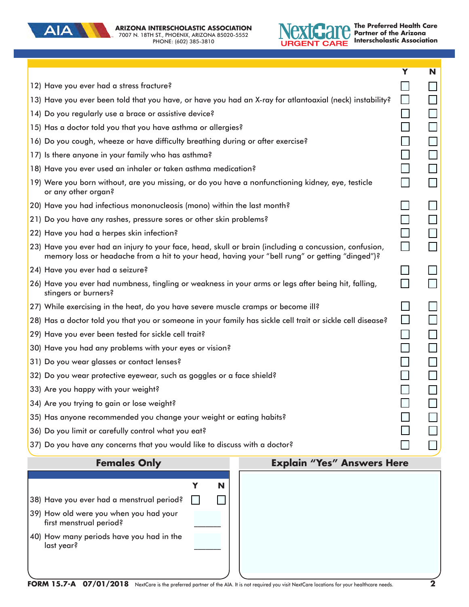



|                                                                                                                                                                                                          | Y | N |
|----------------------------------------------------------------------------------------------------------------------------------------------------------------------------------------------------------|---|---|
| 12) Have you ever had a stress fracture?                                                                                                                                                                 |   |   |
| 13) Have you ever been told that you have, or have you had an X-ray for atlantoaxial (neck) instability?                                                                                                 |   |   |
| 14) Do you regularly use a brace or assistive device?                                                                                                                                                    |   |   |
| 15) Has a doctor told you that you have asthma or allergies?                                                                                                                                             |   |   |
| 16) Do you cough, wheeze or have difficulty breathing during or after exercise?                                                                                                                          |   |   |
| 17) Is there anyone in your family who has asthma?                                                                                                                                                       |   |   |
| 18) Have you ever used an inhaler or taken asthma medication?                                                                                                                                            |   |   |
| 19) Were you born without, are you missing, or do you have a nonfunctioning kidney, eye, testicle<br>or any other organ?                                                                                 |   |   |
| 20) Have you had infectious mononucleosis (mono) within the last month?                                                                                                                                  |   |   |
| 21) Do you have any rashes, pressure sores or other skin problems?                                                                                                                                       |   |   |
| 22) Have you had a herpes skin infection?                                                                                                                                                                |   |   |
| 23) Have you ever had an injury to your face, head, skull or brain (including a concussion, confusion,<br>memory loss or headache from a hit to your head, having your "bell rung" or getting "dinged")? | П |   |
| 24) Have you ever had a seizure?                                                                                                                                                                         |   |   |
| 26) Have you ever had numbness, tingling or weakness in your arms or legs after being hit, falling,<br>stingers or burners?                                                                              |   |   |
| 27) While exercising in the heat, do you have severe muscle cramps or become ill?                                                                                                                        |   |   |
| 28) Has a doctor told you that you or someone in your family has sickle cell trait or sickle cell disease?                                                                                               |   |   |
| 29) Have you ever been tested for sickle cell trait?                                                                                                                                                     |   |   |
| 30) Have you had any problems with your eyes or vision?                                                                                                                                                  |   |   |
| 31) Do you wear glasses or contact lenses?                                                                                                                                                               |   |   |
| 32) Do you wear protective eyewear, such as goggles or a face shield?                                                                                                                                    |   |   |
| 33) Are you happy with your weight?                                                                                                                                                                      |   |   |
| 34) Are you trying to gain or lose weight?                                                                                                                                                               |   |   |
| 35) Has anyone recommended you change your weight or eating habits?                                                                                                                                      |   |   |
| 36) Do you limit or carefully control what you eat?                                                                                                                                                      |   |   |
| 37) Do you have any concerns that you would like to discuss with a doctor?                                                                                                                               |   |   |

### **Females Only Explain "Yes" Answers Here**

| 38) Have you ever had a menstrual period? |
|-------------------------------------------|
|-------------------------------------------|

- 39) How old were you when you had your first menstrual period? \_\_\_\_\_\_\_
- 40) How many periods have you had in the last year?

**Y N**

 $\mathcal{L}_{\mathcal{A}}$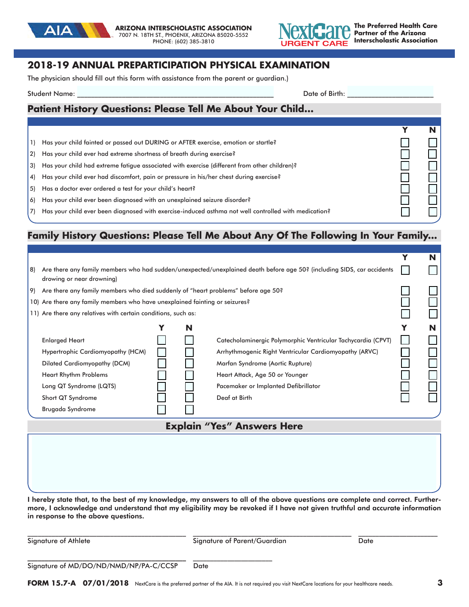



#### **2018-19 ANNUAL PREPARTICIPATION PHYSICAL EXAMINATION**

The physician should fill out this form with assistance from the parent or guardian.)

Student Name: \_\_\_\_\_\_\_\_\_\_\_\_\_\_\_\_\_\_\_\_\_\_\_\_\_\_\_\_\_\_\_\_\_\_\_\_\_\_\_\_\_\_\_\_\_\_\_\_\_\_\_\_\_\_\_\_\_ Date of Birth: \_\_\_\_\_\_\_\_\_\_\_\_\_\_\_\_\_\_\_\_\_\_\_\_\_

### **Patient History Questions: Please Tell Me About Your Child...**

|             |                                                                                                      | N |
|-------------|------------------------------------------------------------------------------------------------------|---|
| l 1)        | Has your child fainted or passed out DURING or AFTER exercise, emotion or startle?                   |   |
| $ 2\rangle$ | Has your child ever had extreme shortness of breath during exercise?                                 |   |
| I 3)        | Has your child had extreme fatigue associated with exercise (different from other children)?         |   |
|             | $\vert$ 4) Has your child ever had discomfort, pain or pressure in his/her chest during exercise?    |   |
| 5)          | Has a doctor ever ordered a test for your child's heart?                                             |   |
| (6          | Has your child ever been diagnosed with an unexplained seizure disorder?                             |   |
| 17)         | Has your child ever been diagnosed with exercise-induced asthma not well controlled with medication? |   |

## **Family History Questions: Please Tell Me About Any Of The Following In Your Family...**

|                                                                                                                                                           |  |   |                                                              |  | N |  |  |  |
|-----------------------------------------------------------------------------------------------------------------------------------------------------------|--|---|--------------------------------------------------------------|--|---|--|--|--|
| 8 <br>Are there any family members who had sudden/unexpected/unexplained death before age 50? (including SIDS, car accidents<br>drowing or near drowning) |  |   |                                                              |  |   |  |  |  |
| Are there any family members who died suddenly of "heart problems" before age 50?<br>9)                                                                   |  |   |                                                              |  |   |  |  |  |
| 10) Are there any family members who have unexplained fainting or seizures?                                                                               |  |   |                                                              |  |   |  |  |  |
| 11) Are there any relatives with certain conditions, such as:                                                                                             |  |   |                                                              |  |   |  |  |  |
|                                                                                                                                                           |  | N |                                                              |  | N |  |  |  |
| <b>Enlarged Heart</b>                                                                                                                                     |  |   | Catecholaminergic Polymorphic Ventricular Tachycardia (CPVT) |  |   |  |  |  |
| <b>Hypertrophic Cardiomyopathy (HCM)</b>                                                                                                                  |  |   | Arrhythmogenic Right Ventricular Cardiomyopathy (ARVC)       |  |   |  |  |  |
| <b>Dilated Cardiomyopathy (DCM)</b>                                                                                                                       |  |   | Marfan Syndrome (Aortic Rupture)                             |  |   |  |  |  |
| <b>Heart Rhythm Problems</b>                                                                                                                              |  |   | Heart Attack, Age 50 or Younger                              |  |   |  |  |  |
| Long QT Syndrome (LQTS)                                                                                                                                   |  |   | Pacemaker or Implanted Defibrillator                         |  |   |  |  |  |
| Short QT Syndrome                                                                                                                                         |  |   | Deaf at Birth                                                |  |   |  |  |  |
| Brugada Syndrome                                                                                                                                          |  |   |                                                              |  |   |  |  |  |
| <b>Explain "Yes" Answers Here</b>                                                                                                                         |  |   |                                                              |  |   |  |  |  |
|                                                                                                                                                           |  |   |                                                              |  |   |  |  |  |
|                                                                                                                                                           |  |   |                                                              |  |   |  |  |  |
|                                                                                                                                                           |  |   |                                                              |  |   |  |  |  |

I hereby state that, to the best of my knowledge, my answers to all of the above questions are complete and correct. Furthermore, I acknowledge and understand that my eligibility may be revoked if I have not given truthful and accurate information in response to the above questions.

Signature of Parent/Guardian Date

Signature of MD/DO/ND/NMD/NP/PA-C/CCSP Date

\_\_\_\_\_\_\_\_\_\_\_\_\_\_\_\_\_\_\_\_\_\_\_\_\_\_\_\_\_\_\_\_\_\_\_\_\_\_\_\_\_\_\_\_\_\_ \_\_\_\_\_\_\_\_\_\_\_\_\_\_\_\_\_\_\_\_\_\_\_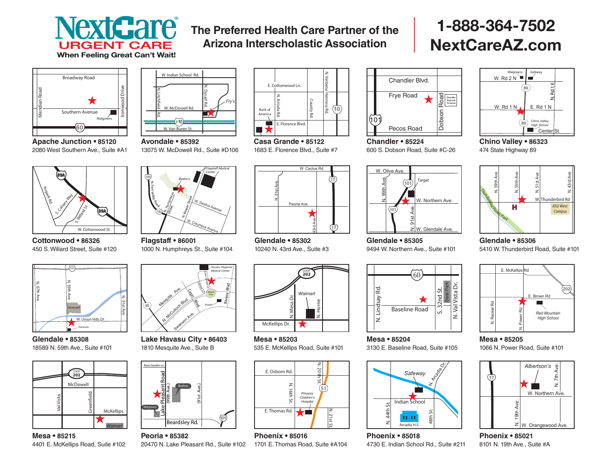

# 1-888-364-7502 NextCareAZ.com



**Apache Junction • 85120** 2080 West Southern Ave., Suite #A1



**Cottonwood • 86326** 450 S. Willard Street, Suite #120



**Avondale • 85392** 13075 W. McDowell Rd., Suite #D106



**Flagstaff • 86001** 1000 N. Humphreys St., Suite #104



**Glendale • 85308** 18589 N. 59th Ave., Suite #101



**Mesa • 85215** 4401 E. McKellips Road, Suite #102



Lake Havasu City • 86403 and **nature only of**<br>1810 Mesquite Ave., Suite B



**Peoria • 85382** 20470 N. Lake Pleasant Rd., Suite #102



**Casa Grande • 85122** 99¢ Store 1683 E. Florence Blvd., Suite #7



10240 N. 43rd Ave., Suite #3 **10240 North 43rd Avenue,** 



**Mesa • 85203** 535 E. McKellips Road, Suite #101



**Phoenix • 85016** 1701 E. Thomas Road, Suite #A104



**Chandler • 85224** 600 S. Dobson Road, Suite #C-26



**Glendale • 85305** 9494 W. Northern Ave., Suite #101



**Mesa • 85204** 3130 E. Baseline Road, Suite #105



**Phoenix • 85018** 4730 E. Indian School Rd., Suite #211



**Chino Valley • 86323** 474 State Highway 89



**Glendale • 85306** 5410 W. Thunderbird Road, Suite #101



**Mesa • 85205** 1066 N. Power Road, Suite #101



**Phoenix • 85021** 8101 N. 19th Ave., Suite #A **8101 N. 19th Avenue, Ste. A**